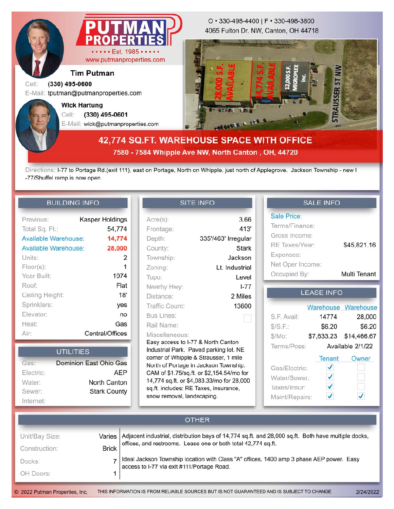

www.putmanproperties.com

## **Tim Putman**

#### Cell: **(330) 495-0600**

E-Mail: tputman@putmanproperties.com

E-Mail: wick@putmanproperties.com Cell: **(330) 495-0601 Wick Hartung**

4065 Fulton Dr. NW, Canton, OH 44718 O • 330-498-4400 | F • 330-498-3800



# **42,774 SQ.FT. WAREHOUSE SPACE WITH OFFICE 7580 - 7584 Whipple Ave NW, North Canton , OH, 44720**

Directions: I-77 to Portage Rd.(exit 111), east on Portage, North on Whipple, just north of Applegrove. Jackson Township - new I -77/Shuffel ramp is now open.

#### **BUILDING INFO**

| Previous:            | Kasper Holdings |
|----------------------|-----------------|
| Total Sq. Ft.:       | 54,774          |
| Available Warehouse: | 14,774          |
| Available Warehouse: | 28,000          |
| Units:               | 2               |
| $Floor(s)$ :         |                 |
| Year Built:          | 1974            |
| Roof:                | Flat            |
| Ceiling Height:      | 18'             |
| Sprinklers:          | yes             |
| Elevator:            | no              |
| Heat:                | Gas             |
| Air:                 | Central/Offices |

|           | UTILITIES              |
|-----------|------------------------|
| Gas:      | Dominion East Ohio Gas |
| Electric: | <b>AEP</b>             |
| Water:    | North Canton           |
| Sewer:    | <b>Stark County</b>    |
| Internet: |                        |

## **SITE INFO**

| $Acre(s)$ :                                                                                                                                                                                                                                                                                          | 3.66                                      |
|------------------------------------------------------------------------------------------------------------------------------------------------------------------------------------------------------------------------------------------------------------------------------------------------------|-------------------------------------------|
| Frontage:                                                                                                                                                                                                                                                                                            | 413'                                      |
| Depth:                                                                                                                                                                                                                                                                                               | 335'/463' Irregular                       |
| County:                                                                                                                                                                                                                                                                                              | Stark                                     |
| Township:                                                                                                                                                                                                                                                                                            | Jackson                                   |
| Zoning:                                                                                                                                                                                                                                                                                              | Lt. Industrial                            |
| Topo:                                                                                                                                                                                                                                                                                                | Level                                     |
| Nearby Hwy:                                                                                                                                                                                                                                                                                          | $1 - 77$                                  |
| Distance:                                                                                                                                                                                                                                                                                            | 2 Miles                                   |
| Traffic Count:                                                                                                                                                                                                                                                                                       | 13600                                     |
| Bus Lines:                                                                                                                                                                                                                                                                                           |                                           |
| Rail Name:                                                                                                                                                                                                                                                                                           |                                           |
| Miscellaneous:<br>Easy access to I-77 & North Canton<br>Industrial Park. Paved parking lot. NE<br>corner of Whipple & Strausser, 1 mile<br>North of Portage in Jackson Township.<br>CAM of \$1.75/sq.ft. or \$2,154.54/mo for<br>sq.ft. includes: RE Taxes, insurance,<br>snow removal, landscaping. | 14,774 sq.ft. or \$4,083.33/mo for 28,000 |

### **SALE INFO**

| <b>Sale Price:</b> |              |
|--------------------|--------------|
| Terms/Finance:     |              |
| Gross Income:      |              |
| RE Taxes/Year:     | \$45,821.16  |
| Expenses:          |              |
| Net Oper Income:   |              |
| Occupied By:       | Multi Tenant |

#### **LEASE INFO**

|                |                  | Warehouse Warehouse |
|----------------|------------------|---------------------|
| S.F. Avail:    | 14774            | 28,000              |
| S/S.F.:        | \$6.20           | \$6.20              |
| \$/Mo:         |                  |                     |
| Terms/Poss:    | Available 2/1/22 |                     |
|                | Tenant           | Owner               |
| Gas/Electric:  |                  |                     |
| Water/Sewer:   | ✓                |                     |
| Taxes/Insur:   | ✓                |                     |
| Maint/Repairs: |                  |                     |

| <b>OTHER</b>   |              |                                                                                                                                        |
|----------------|--------------|----------------------------------------------------------------------------------------------------------------------------------------|
| Unit/Bay Size: | Varies I     | Adjacent industrial, distribution bays of 14,774 sq.ft. and 28,000 sq.ft. Both have multiple docks,                                    |
| Construction:  | <b>Brick</b> | offices, and restrooms. Lease one or both total 42,774 sq.ft.                                                                          |
| Docks:         |              | Ideal Jackson Township location with Class "A" offices, 1400 amp 3 phase AEP power. Easy<br>access to I-77 via exit #111/Portage Road. |
| OH Doors:      |              |                                                                                                                                        |